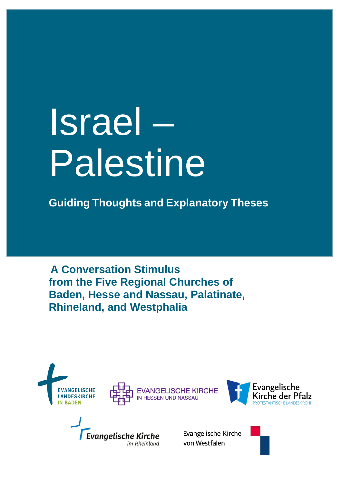# Israel – Palestine

**Guiding Thoughts and Explanatory Theses**

**A Conversation Stimulus from the Five Regional Churches of Baden, Hesse and Nassau, Palatinate, Rhineland, and Westphalia**







**Evangelische Kirche** im Rheinland

Evangelische Kirche von Westfalen

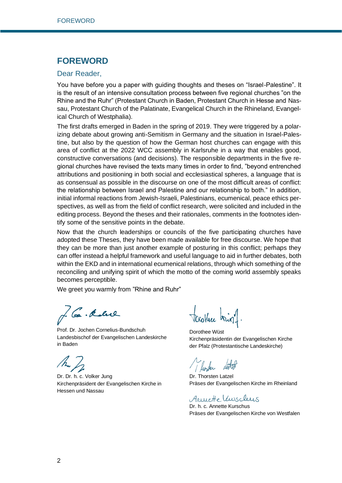## **FOREWORD**

#### Dear Reader,

You have before you a paper with guiding thoughts and theses on "Israel-Palestine". It is the result of an intensive consultation process between five regional churches "on the Rhine and the Ruhr" (Protestant Church in Baden, Protestant Church in Hesse and Nassau, Protestant Church of the Palatinate, Evangelical Church in the Rhineland, Evangelical Church of Westphalia).

The first drafts emerged in Baden in the spring of 2019. They were triggered by a polarizing debate about growing anti-Semitism in Germany and the situation in Israel-Palestine, but also by the question of how the German host churches can engage with this area of conflict at the 2022 WCC assembly in Karlsruhe in a way that enables good, constructive conversations (and decisions). The responsible departments in the five regional churches have revised the texts many times in order to find, "beyond entrenched attributions and positioning in both social and ecclesiastical spheres, a language that is as consensual as possible in the discourse on one of the most difficult areas of conflict: the relationship between Israel and Palestine and our relationship to both." In addition, initial informal reactions from Jewish-Israeli, Palestinians, ecumenical, peace ethics perspectives, as well as from the field of conflict research, were solicited and included in the editing process. Beyond the theses and their rationales, comments in the footnotes identify some of the sensitive points in the debate.

Now that the church leaderships or councils of the five participating churches have adopted these Theses, they have been made available for free discourse. We hope that they can be more than just another example of posturing in this conflict; perhaps they can offer instead a helpful framework and useful language to aid in further debates, both within the EKD and in international ecumenical relations, through which something of the reconciling and unifying spirit of which the motto of the coming world assembly speaks becomes perceptible.

We greet you warmly from "Rhine and Ruhr"

Co. Kolul

Prof. Dr. Jochen Cornelius-Bundschuh Landesbischof der Evangelischen Landeskirche in Baden

Dr. Dr. h. c. Volker Jung Kirchenpräsident der Evangelischen Kirche in Hessen und Nassau

tocothere tring

Dorothee Wüst Kirchenpräsidentin der Evangelischen Kirche der Pfalz (Protestantische Landeskirche)

1 linsen

Dr. Thorsten Latzel Präses der Evangelischen Kirche im Rheinland

Arriette Unschus

Dr. h. c. Annette Kurschus Präses der Evangelischen Kirche von Westfalen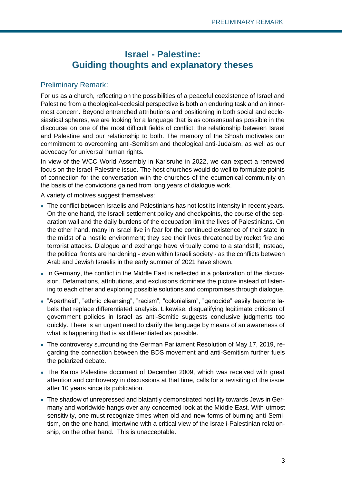# **Israel - Palestine: Guiding thoughts and explanatory theses**

## Preliminary Remark:

For us as a church, reflecting on the possibilities of a peaceful coexistence of Israel and Palestine from a theological-ecclesial perspective is both an enduring task and an innermost concern. Beyond entrenched attributions and positioning in both social and ecclesiastical spheres, we are looking for a language that is as consensual as possible in the discourse on one of the most difficult fields of conflict: the relationship between Israel and Palestine and our relationship to both. The memory of the Shoah motivates our commitment to overcoming anti-Semitism and theological anti-Judaism, as well as our advocacy for universal human rights.

In view of the WCC World Assembly in Karlsruhe in 2022, we can expect a renewed focus on the Israel-Palestine issue. The host churches would do well to formulate points of connection for the conversation with the churches of the ecumenical community on the basis of the convictions gained from long years of dialogue work.

A variety of motives suggest themselves:

- The conflict between Israelis and Palestinians has not lost its intensity in recent years. On the one hand, the Israeli settlement policy and checkpoints, the course of the separation wall and the daily burdens of the occupation limit the lives of Palestinians. On the other hand, many in Israel live in fear for the continued existence of their state in the midst of a hostile environment; they see their lives threatened by rocket fire and terrorist attacks. Dialogue and exchange have virtually come to a standstill; instead, the political fronts are hardening - even within Israeli society - as the conflicts between Arab and Jewish Israelis in the early summer of 2021 have shown.
- In Germany, the conflict in the Middle East is reflected in a polarization of the discussion. Defamations, attributions, and exclusions dominate the picture instead of listening to each other and exploring possible solutions and compromises through dialogue.
- "Apartheid", "ethnic cleansing", "racism", "colonialism", "genocide" easily become labels that replace differentiated analysis. Likewise, disqualifying legitimate criticism of government policies in Israel as anti-Semitic suggests conclusive judgments too quickly. There is an urgent need to clarify the language by means of an awareness of what is happening that is as differentiated as possible.
- The controversy surrounding the German Parliament Resolution of May 17, 2019, regarding the connection between the BDS movement and anti-Semitism further fuels the polarized debate.
- The Kairos Palestine document of December 2009, which was received with great attention and controversy in discussions at that time, calls for a revisiting of the issue after 10 years since its publication.
- The shadow of unrepressed and blatantly demonstrated hostility towards Jews in Germany and worldwide hangs over any concerned look at the Middle East. With utmost sensitivity, one must recognize times when old and new forms of burning anti-Semitism, on the one hand, intertwine with a critical view of the Israeli-Palestinian relationship, on the other hand. This is unacceptable.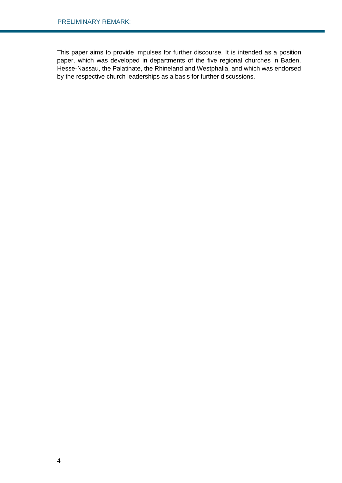This paper aims to provide impulses for further discourse. It is intended as a position paper, which was developed in departments of the five regional churches in Baden, Hesse-Nassau, the Palatinate, the Rhineland and Westphalia, and which was endorsed by the respective church leaderships as a basis for further discussions.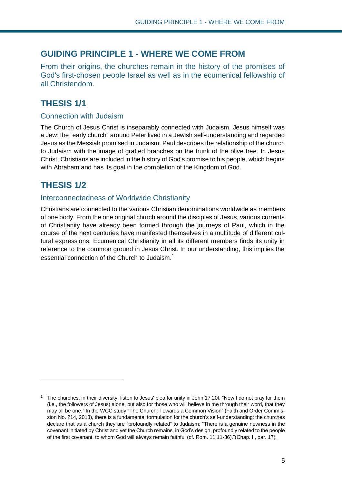## **GUIDING PRINCIPLE 1 - WHERE WE COME FROM**

From their origins, the churches remain in the history of the promises of God's first-chosen people Israel as well as in the ecumenical fellowship of all Christendom.

# **THESIS 1/1**

#### Connection with Judaism

The Church of Jesus Christ is inseparably connected with Judaism. Jesus himself was a Jew; the "early church" around Peter lived in a Jewish self-understanding and regarded Jesus as the Messiah promised in Judaism. Paul describes the relationship of the church to Judaism with the image of grafted branches on the trunk of the olive tree. In Jesus Christ, Christians are included in the history of God's promise to his people, which begins with Abraham and has its goal in the completion of the Kingdom of God.

# **THESIS 1/2**

## Interconnectedness of Worldwide Christianity

Christians are connected to the various Christian denominations worldwide as members of one body. From the one original church around the disciples of Jesus, various currents of Christianity have already been formed through the journeys of Paul, which in the course of the next centuries have manifested themselves in a multitude of different cultural expressions. Ecumenical Christianity in all its different members finds its unity in reference to the common ground in Jesus Christ. In our understanding, this implies the essential connection of the Church to Judaism.<sup>1</sup>

<sup>1</sup> The churches, in their diversity, listen to Jesus' plea for unity in John 17:20f: "Now I do not pray for them (i.e., the followers of Jesus) alone, but also for those who will believe in me through their word, that they may all be one." In the WCC study "The Church: Towards a Common Vision" (Faith and Order Commission No. 214, 2013), there is a fundamental formulation for the church's self-understanding: the churches declare that as a church they are "profoundly related" to Judaism: "There is a genuine newness in the covenant initiated by Christ and yet the Church remains, in God's design, profoundly related to the people of the first covenant, to whom God will always remain faithful (cf. Rom. 11:11-36)."(Chap. II, par. 17).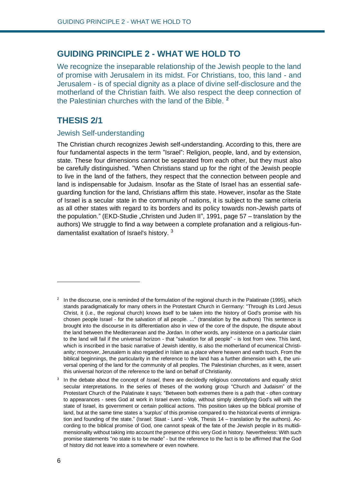## **GUIDING PRINCIPLE 2 - WHAT WE HOLD TO**

We recognize the inseparable relationship of the Jewish people to the land of promise with Jerusalem in its midst. For Christians, too, this land - and Jerusalem - is of special dignity as a place of divine self-disclosure and the motherland of the Christian faith. We also respect the deep connection of the Palestinian churches with the land of the Bible. **<sup>2</sup>**

# **THESIS 2/1**

#### Jewish Self-understanding

The Christian church recognizes Jewish self-understanding. According to this, there are four fundamental aspects in the term "Israel": Religion, people, land, and by extension, state. These four dimensions cannot be separated from each other, but they must also be carefully distinguished. "When Christians stand up for the right of the Jewish people to live in the land of the fathers, they respect that the connection between people and land is indispensable for Judaism. Insofar as the State of Israel has an essential safeguarding function for the land, Christians affirm this state. However, insofar as the State of Israel is a secular state in the community of nations, it is subject to the same criteria as all other states with regard to its borders and its policy towards non-Jewish parts of the population." (EKD-Studie "Christen und Juden II", 1991, page 57 – translation by the authors) We struggle to find a way between a complete profanation and a religious-fundamentalist exaltation of Israel's history. <sup>3</sup>

 $2\;$  In the discourse, one is reminded of the formulation of the regional church in the Palatinate (1995), which stands paradigmatically for many others in the Protestant Church in Germany: "Through its Lord Jesus Christ, it (i.e., the regional church) knows itself to be taken into the history of God's promise with his chosen people Israel - for the salvation of all people. ..." (translation by the authors) This sentence is brought into the discourse in its differentiation also in view of the core of the dispute, the dispute about the land between the Mediterranean and the Jordan. In other words, any insistence on a particular claim to the land will fail if the universal horizon - that "salvation for all people" - is lost from view. This land, which is inscribed in the basic narrative of Jewish identity, is also the motherland of ecumenical Christianity; moreover, Jerusalem is also regarded in Islam as a place where heaven and earth touch. From the biblical beginnings, the particularity in the reference to the land has a further dimension with it, the universal opening of the land for the community of all peoples. The Palestinian churches, as it were, assert this universal horizon of the reference to the land on behalf of Christianity.

<sup>3</sup> In the debate about the concept of *Israel*, there are decidedly religious connotations and equally strict secular interpretations. In the series of theses of the working group "Church and Judaism" of the Protestant Church of the Palatinate it says: "Between both extremes there is a path that - often contrary to appearances - sees God at work in Israel even today, without simply identifying God's will with the state of Israel, its government or certain political actions. This position takes up the biblical promise of land, but at the same time states a 'surplus' of this promise compared to the historical events of immigration and founding of the state." (Israel: Staat - Land - Volk, Thesis 14 – translation by the authors). According to the biblical promise of God, one cannot speak of the fate of the Jewish people in its multidimensionality without taking into account the presence of this very God in history. Nevertheless: With such promise statements "no state is to be made" - but the reference to the fact is to be affirmed that the God of history did not leave into a somewhere or even nowhere.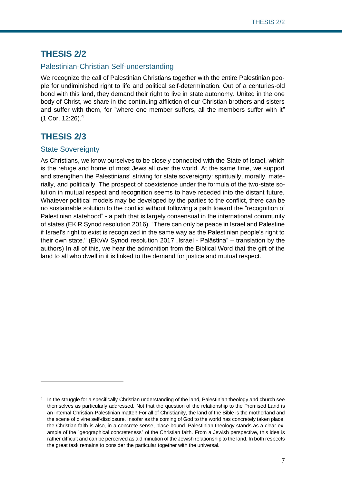## **THESIS 2/2**

## Palestinian-Christian Self-understanding

We recognize the call of Palestinian Christians together with the entire Palestinian people for undiminished right to life and political self-determination. Out of a centuries-old bond with this land, they demand their right to live in state autonomy. United in the one body of Christ, we share in the continuing affliction of our Christian brothers and sisters and suffer with them, for "where one member suffers, all the members suffer with it" (1 Cor. 12:26).<sup>4</sup>

# **THESIS 2/3**

#### State Sovereignty

As Christians, we know ourselves to be closely connected with the State of Israel, which is the refuge and home of most Jews all over the world. At the same time, we support and strengthen the Palestinians' striving for state sovereignty: spiritually, morally, materially, and politically. The prospect of coexistence under the formula of the two-state solution in mutual respect and recognition seems to have receded into the distant future. Whatever political models may be developed by the parties to the conflict, there can be no sustainable solution to the conflict without following a path toward the "recognition of Palestinian statehood" - a path that is largely consensual in the international community of states (EKiR Synod resolution 2016). "There can only be peace in Israel and Palestine if Israel's right to exist is recognized in the same way as the Palestinian people's right to their own state." (EKvW Synod resolution 2017 "Israel - Palästina" – translation by the authors) In all of this, we hear the admonition from the Biblical Word that the gift of the land to all who dwell in it is linked to the demand for justice and mutual respect.

<sup>4</sup> In the struggle for a specifically Christian understanding of the land, Palestinian theology and church see themselves as particularly addressed. Not that the question of the relationship to the Promised Land is an internal Christian-Palestinian matter! For all of Christianity, the land of the Bible is the motherland and the scene of divine self-disclosure. Insofar as the coming of God to the world has concretely taken place, the Christian faith is also, in a concrete sense, place-bound. Palestinian theology stands as a clear example of the "geographical concreteness" of the Christian faith. From a Jewish perspective, this idea is rather difficult and can be perceived as a diminution of the Jewish relationship to the land. In both respects the great task remains to consider the particular together with the universal.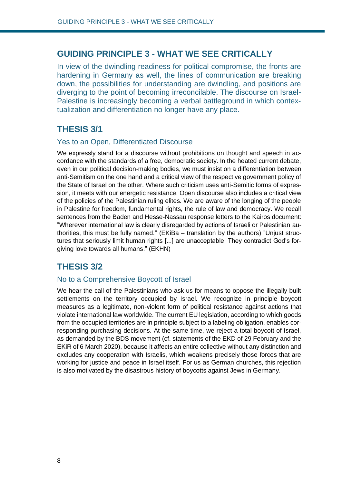## **GUIDING PRINCIPLE 3 - WHAT WE SEE CRITICALLY**

In view of the dwindling readiness for political compromise, the fronts are hardening in Germany as well, the lines of communication are breaking down, the possibilities for understanding are dwindling, and positions are diverging to the point of becoming irreconcilable. The discourse on Israel-Palestine is increasingly becoming a verbal battleground in which contextualization and differentiation no longer have any place.

## **THESIS 3/1**

#### Yes to an Open, Differentiated Discourse

We expressly stand for a discourse without prohibitions on thought and speech in accordance with the standards of a free, democratic society. In the heated current debate, even in our political decision-making bodies, we must insist on a differentiation between anti-Semitism on the one hand and a critical view of the respective government policy of the State of Israel on the other. Where such criticism uses anti-Semitic forms of expression, it meets with our energetic resistance. Open discourse also includes a critical view of the policies of the Palestinian ruling elites. We are aware of the longing of the people in Palestine for freedom, fundamental rights, the rule of law and democracy. We recall sentences from the Baden and Hesse-Nassau response letters to the Kairos document: "Wherever international law is clearly disregarded by actions of Israeli or Palestinian authorities, this must be fully named." (EKiBa – translation by the authors) "Unjust structures that seriously limit human rights [...] are unacceptable. They contradict God's forgiving love towards all humans." (EKHN)

## **THESIS 3/2**

#### No to a Comprehensive Boycott of Israel

We hear the call of the Palestinians who ask us for means to oppose the illegally built settlements on the territory occupied by Israel. We recognize in principle boycott measures as a legitimate, non-violent form of political resistance against actions that violate international law worldwide. The current EU legislation, according to which goods from the occupied territories are in principle subject to a labeling obligation, enables corresponding purchasing decisions. At the same time, we reject a total boycott of Israel, as demanded by the BDS movement (cf. statements of the EKD of 29 February and the EKiR of 6 March 2020), because it affects an entire collective without any distinction and excludes any cooperation with Israelis, which weakens precisely those forces that are working for justice and peace in Israel itself. For us as German churches, this rejection is also motivated by the disastrous history of boycotts against Jews in Germany.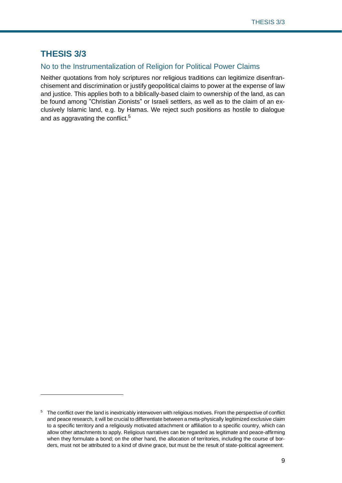# **THESIS 3/3**

## No to the Instrumentalization of Religion for Political Power Claims

Neither quotations from holy scriptures nor religious traditions can legitimize disenfranchisement and discrimination or justify geopolitical claims to power at the expense of law and justice. This applies both to a biblically-based claim to ownership of the land, as can be found among "Christian Zionists" or Israeli settlers, as well as to the claim of an exclusively Islamic land, e.g. by Hamas. We reject such positions as hostile to dialogue and as aggravating the conflict.<sup>5</sup>

<sup>&</sup>lt;sup>5</sup> The conflict over the land is inextricably interwoven with religious motives. From the perspective of conflict and peace research, it will be crucial to differentiate between a meta-physically legitimized exclusive claim to a specific territory and a religiously motivated attachment or affiliation to a specific country, which can allow other attachments to apply. Religious narratives can be regarded as legitimate and peace-affirming when they formulate a bond; on the other hand, the allocation of territories, including the course of borders, must not be attributed to a kind of divine grace, but must be the result of state-political agreement.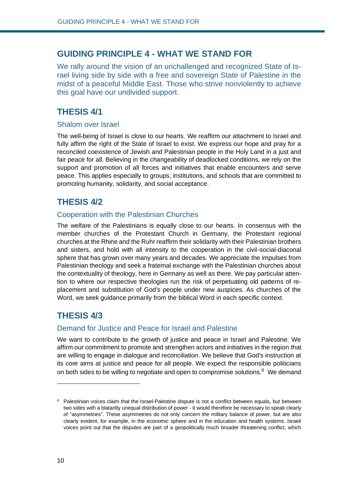## **GUIDING PRINCIPLE 4 - WHAT WE STAND FOR**

We rally around the vision of an unchallenged and recognized State of Israel living side by side with a free and sovereign State of Palestine in the midst of a peaceful Middle East. Those who strive nonviolently to achieve this goal have our undivided support.

## **THESIS 4/1**

#### Shalom over Israel

The well-being of Israel is close to our hearts. We reaffirm our attachment to Israel and fully affirm the right of the State of Israel to exist. We express our hope and pray for a reconciled coexistence of Jewish and Palestinian people in the Holy Land in a just and fair peace for all. Believing in the changeability of deadlocked conditions, we rely on the support and promotion of all forces and initiatives that enable encounters and serve peace. This applies especially to groups, institutions, and schools that are committed to promoting humanity, solidarity, and social acceptance.

## **THESIS 4/2**

#### Cooperation with the Palestinian Churches

The welfare of the Palestinians is equally close to our hearts. In consensus with the member churches of the Protestant Church in Germany, the Protestant regional churches at the Rhine and the Ruhr reaffirm their solidarity with their Palestinian brothers and sisters, and hold with all intensity to the cooperation in the civil-social-diaconal sphere that has grown over many years and decades. We appreciate the impulses from Palestinian theology and seek a fraternal exchange with the Palestinian churches about the contextuality of theology, here in Germany as well as there. We pay particular attention to where our respective theologies run the risk of perpetuating old patterns of replacement and substitution of God's people under new auspices. As churches of the Word, we seek guidance primarily from the biblical Word in each specific context.

# **THESIS 4/3**

#### Demand for Justice and Peace for Israel and Palestine

We want to contribute to the growth of justice and peace in Israel and Palestine: We affirm our commitment to promote and strengthen actors and initiatives in the region that are willing to engage in dialogue and reconciliation. We believe that God's instruction at its core aims at justice and peace for all people. We expect the responsible politicians on both sides to be willing to negotiate and open to compromise solutions.<sup>6</sup> We demand

 $6$  Palestinian voices claim that the Israel-Palestine dispute is not a conflict between equals, but between two sides with a blatantly unequal distribution of power - it would therefore be necessary to speak clearly of "asymmetries". These asymmetries do not only concern the military balance of power, but are also clearly evident, for example, in the economic sphere and in the education and health systems. Israeli voices point out that the disputes are part of a geopolitically much broader threatening conflict, which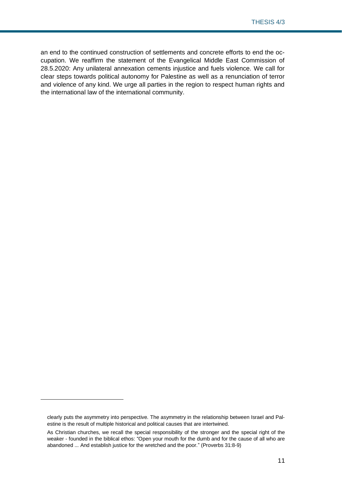an end to the continued construction of settlements and concrete efforts to end the occupation. We reaffirm the statement of the Evangelical Middle East Commission of 28.5.2020: Any unilateral annexation cements injustice and fuels violence. We call for clear steps towards political autonomy for Palestine as well as a renunciation of terror and violence of any kind. We urge all parties in the region to respect human rights and the international law of the international community.

clearly puts the asymmetry into perspective. The asymmetry in the relationship between Israel and Palestine is the result of multiple historical and political causes that are intertwined.

As Christian churches, we recall the special responsibility of the stronger and the special right of the weaker - founded in the biblical ethos: "Open your mouth for the dumb and for the cause of all who are abandoned ... And establish justice for the wretched and the poor." (Proverbs 31:8-9)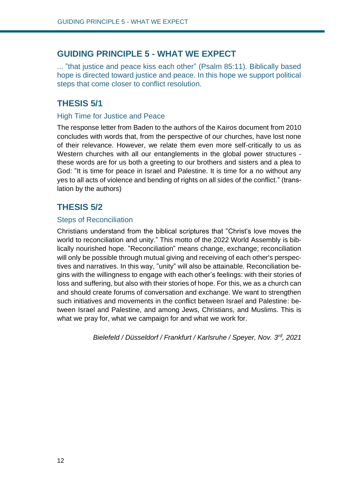# **GUIDING PRINCIPLE 5 - WHAT WE EXPECT**

... "that justice and peace kiss each other" (Psalm 85:11). Biblically based hope is directed toward justice and peace. In this hope we support political steps that come closer to conflict resolution.

# **THESIS 5/1**

## High Time for Justice and Peace

The response letter from Baden to the authors of the Kairos document from 2010 concludes with words that, from the perspective of our churches, have lost none of their relevance. However, we relate them even more self-critically to us as Western churches with all our entanglements in the global power structures these words are for us both a greeting to our brothers and sisters and a plea to God: "It is time for peace in Israel and Palestine. It is time for a no without any yes to all acts of violence and bending of rights on all sides of the conflict." (translation by the authors)

# **THESIS 5/2**

## Steps of Reconciliation

Christians understand from the biblical scriptures that "Christ's love moves the world to reconciliation and unity." This motto of the 2022 World Assembly is biblically nourished hope. "Reconciliation" means change, exchange; reconciliation will only be possible through mutual giving and receiving of each other's perspectives and narratives. In this way, "unity" will also be attainable. Reconciliation begins with the willingness to engage with each other's feelings: with their stories of loss and suffering, but also with their stories of hope. For this, we as a church can and should create forums of conversation and exchange. We want to strengthen such initiatives and movements in the conflict between Israel and Palestine: between Israel and Palestine, and among Jews, Christians, and Muslims. This is what we pray for, what we campaign for and what we work for.

*Bielefeld / Düsseldorf / Frankfurt / Karlsruhe / Speyer, Nov. 3rd, 2021*